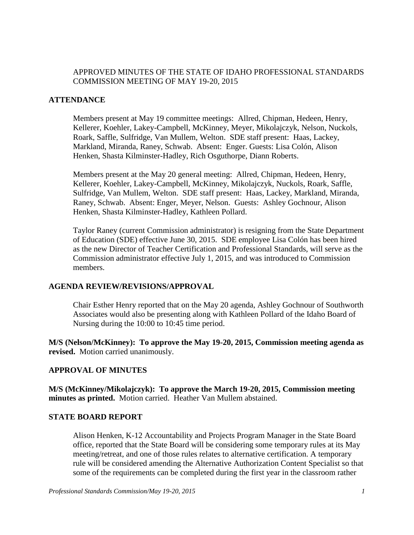## APPROVED MINUTES OF THE STATE OF IDAHO PROFESSIONAL STANDARDS COMMISSION MEETING OF MAY 19-20, 2015

## **ATTENDANCE**

Members present at May 19 committee meetings: Allred, Chipman, Hedeen, Henry, Kellerer, Koehler, Lakey-Campbell, McKinney, Meyer, Mikolajczyk, Nelson, Nuckols, Roark, Saffle, Sulfridge, Van Mullem, Welton. SDE staff present: Haas, Lackey, Markland, Miranda, Raney, Schwab. Absent: Enger. Guests: Lisa Colón, Alison Henken, Shasta Kilminster-Hadley, Rich Osguthorpe, Diann Roberts.

Members present at the May 20 general meeting: Allred, Chipman, Hedeen, Henry, Kellerer, Koehler, Lakey-Campbell, McKinney, Mikolajczyk, Nuckols, Roark, Saffle, Sulfridge, Van Mullem, Welton. SDE staff present: Haas, Lackey, Markland, Miranda, Raney, Schwab. Absent: Enger, Meyer, Nelson. Guests: Ashley Gochnour, Alison Henken, Shasta Kilminster-Hadley, Kathleen Pollard.

Taylor Raney (current Commission administrator) is resigning from the State Department of Education (SDE) effective June 30, 2015. SDE employee Lisa Colón has been hired as the new Director of Teacher Certification and Professional Standards, will serve as the Commission administrator effective July 1, 2015, and was introduced to Commission members.

#### **AGENDA REVIEW/REVISIONS/APPROVAL**

Chair Esther Henry reported that on the May 20 agenda, Ashley Gochnour of Southworth Associates would also be presenting along with Kathleen Pollard of the Idaho Board of Nursing during the 10:00 to 10:45 time period.

**M/S (Nelson/McKinney): To approve the May 19-20, 2015, Commission meeting agenda as revised.** Motion carried unanimously.

## **APPROVAL OF MINUTES**

**M/S (McKinney/Mikolajczyk): To approve the March 19-20, 2015, Commission meeting minutes as printed.** Motion carried. Heather Van Mullem abstained.

### **STATE BOARD REPORT**

Alison Henken, K-12 Accountability and Projects Program Manager in the State Board office, reported that the State Board will be considering some temporary rules at its May meeting/retreat, and one of those rules relates to alternative certification. A temporary rule will be considered amending the Alternative Authorization Content Specialist so that some of the requirements can be completed during the first year in the classroom rather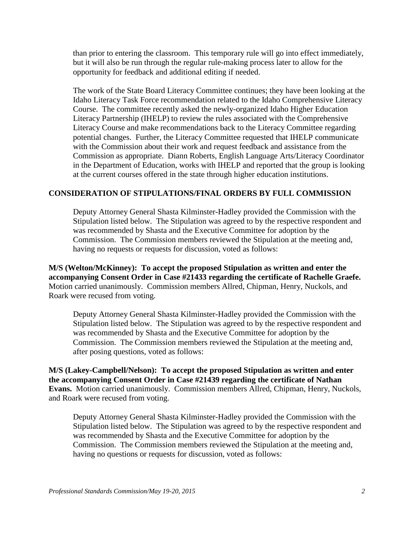than prior to entering the classroom. This temporary rule will go into effect immediately, but it will also be run through the regular rule-making process later to allow for the opportunity for feedback and additional editing if needed.

The work of the State Board Literacy Committee continues; they have been looking at the Idaho Literacy Task Force recommendation related to the Idaho Comprehensive Literacy Course. The committee recently asked the newly-organized Idaho Higher Education Literacy Partnership (IHELP) to review the rules associated with the Comprehensive Literacy Course and make recommendations back to the Literacy Committee regarding potential changes. Further, the Literacy Committee requested that IHELP communicate with the Commission about their work and request feedback and assistance from the Commission as appropriate. Diann Roberts, English Language Arts/Literacy Coordinator in the Department of Education, works with IHELP and reported that the group is looking at the current courses offered in the state through higher education institutions.

## **CONSIDERATION OF STIPULATIONS/FINAL ORDERS BY FULL COMMISSION**

Deputy Attorney General Shasta Kilminster-Hadley provided the Commission with the Stipulation listed below. The Stipulation was agreed to by the respective respondent and was recommended by Shasta and the Executive Committee for adoption by the Commission. The Commission members reviewed the Stipulation at the meeting and, having no requests or requests for discussion, voted as follows:

**M/S (Welton/McKinney): To accept the proposed Stipulation as written and enter the accompanying Consent Order in Case #21433 regarding the certificate of Rachelle Graefe.**  Motion carried unanimously. Commission members Allred, Chipman, Henry, Nuckols, and Roark were recused from voting.

Deputy Attorney General Shasta Kilminster-Hadley provided the Commission with the Stipulation listed below. The Stipulation was agreed to by the respective respondent and was recommended by Shasta and the Executive Committee for adoption by the Commission. The Commission members reviewed the Stipulation at the meeting and, after posing questions, voted as follows:

**M/S (Lakey-Campbell/Nelson): To accept the proposed Stipulation as written and enter the accompanying Consent Order in Case #21439 regarding the certificate of Nathan Evans.** Motion carried unanimously. Commission members Allred, Chipman, Henry, Nuckols, and Roark were recused from voting.

Deputy Attorney General Shasta Kilminster-Hadley provided the Commission with the Stipulation listed below. The Stipulation was agreed to by the respective respondent and was recommended by Shasta and the Executive Committee for adoption by the Commission. The Commission members reviewed the Stipulation at the meeting and, having no questions or requests for discussion, voted as follows: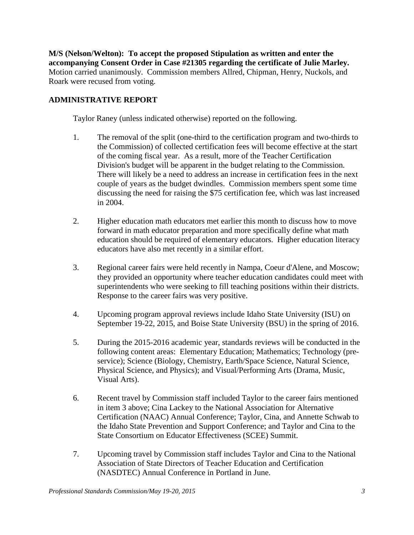**M/S (Nelson/Welton): To accept the proposed Stipulation as written and enter the accompanying Consent Order in Case #21305 regarding the certificate of Julie Marley.**  Motion carried unanimously. Commission members Allred, Chipman, Henry, Nuckols, and Roark were recused from voting.

## **ADMINISTRATIVE REPORT**

Taylor Raney (unless indicated otherwise) reported on the following.

- 1. The removal of the split (one-third to the certification program and two-thirds to the Commission) of collected certification fees will become effective at the start of the coming fiscal year. As a result, more of the Teacher Certification Division's budget will be apparent in the budget relating to the Commission. There will likely be a need to address an increase in certification fees in the next couple of years as the budget dwindles. Commission members spent some time discussing the need for raising the \$75 certification fee, which was last increased in 2004.
- 2. Higher education math educators met earlier this month to discuss how to move forward in math educator preparation and more specifically define what math education should be required of elementary educators. Higher education literacy educators have also met recently in a similar effort.
- 3. Regional career fairs were held recently in Nampa, Coeur d'Alene, and Moscow; they provided an opportunity where teacher education candidates could meet with superintendents who were seeking to fill teaching positions within their districts. Response to the career fairs was very positive.
- 4. Upcoming program approval reviews include Idaho State University (ISU) on September 19-22, 2015, and Boise State University (BSU) in the spring of 2016.
- 5. During the 2015-2016 academic year, standards reviews will be conducted in the following content areas: Elementary Education; Mathematics; Technology (preservice); Science (Biology, Chemistry, Earth/Space Science, Natural Science, Physical Science, and Physics); and Visual/Performing Arts (Drama, Music, Visual Arts).
- 6. Recent travel by Commission staff included Taylor to the career fairs mentioned in item 3 above; Cina Lackey to the National Association for Alternative Certification (NAAC) Annual Conference; Taylor, Cina, and Annette Schwab to the Idaho State Prevention and Support Conference; and Taylor and Cina to the State Consortium on Educator Effectiveness (SCEE) Summit.
- 7. Upcoming travel by Commission staff includes Taylor and Cina to the National Association of State Directors of Teacher Education and Certification (NASDTEC) Annual Conference in Portland in June.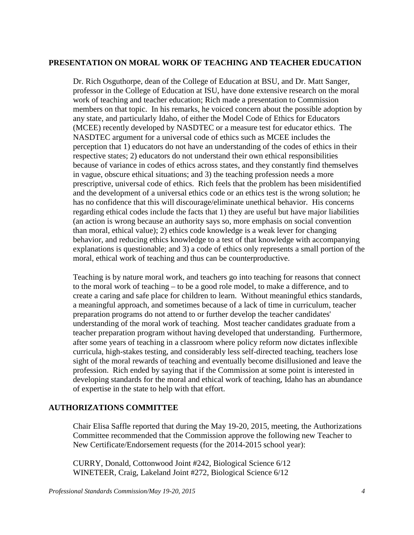#### **PRESENTATION ON MORAL WORK OF TEACHING AND TEACHER EDUCATION**

Dr. Rich Osguthorpe, dean of the College of Education at BSU, and Dr. Matt Sanger, professor in the College of Education at ISU, have done extensive research on the moral work of teaching and teacher education; Rich made a presentation to Commission members on that topic. In his remarks, he voiced concern about the possible adoption by any state, and particularly Idaho, of either the Model Code of Ethics for Educators (MCEE) recently developed by NASDTEC or a measure test for educator ethics. The NASDTEC argument for a universal code of ethics such as MCEE includes the perception that 1) educators do not have an understanding of the codes of ethics in their respective states; 2) educators do not understand their own ethical responsibilities because of variance in codes of ethics across states, and they constantly find themselves in vague, obscure ethical situations; and 3) the teaching profession needs a more prescriptive, universal code of ethics. Rich feels that the problem has been misidentified and the development of a universal ethics code or an ethics test is the wrong solution; he has no confidence that this will discourage/eliminate unethical behavior. His concerns regarding ethical codes include the facts that 1) they are useful but have major liabilities (an action is wrong because an authority says so, more emphasis on social convention than moral, ethical value); 2) ethics code knowledge is a weak lever for changing behavior, and reducing ethics knowledge to a test of that knowledge with accompanying explanations is questionable; and 3) a code of ethics only represents a small portion of the moral, ethical work of teaching and thus can be counterproductive.

Teaching is by nature moral work, and teachers go into teaching for reasons that connect to the moral work of teaching – to be a good role model, to make a difference, and to create a caring and safe place for children to learn. Without meaningful ethics standards, a meaningful approach, and sometimes because of a lack of time in curriculum, teacher preparation programs do not attend to or further develop the teacher candidates' understanding of the moral work of teaching. Most teacher candidates graduate from a teacher preparation program without having developed that understanding. Furthermore, after some years of teaching in a classroom where policy reform now dictates inflexible curricula, high-stakes testing, and considerably less self-directed teaching, teachers lose sight of the moral rewards of teaching and eventually become disillusioned and leave the profession. Rich ended by saying that if the Commission at some point is interested in developing standards for the moral and ethical work of teaching, Idaho has an abundance of expertise in the state to help with that effort.

## **AUTHORIZATIONS COMMITTEE**

Chair Elisa Saffle reported that during the May 19-20, 2015, meeting, the Authorizations Committee recommended that the Commission approve the following new Teacher to New Certificate/Endorsement requests (for the 2014-2015 school year):

CURRY, Donald, Cottonwood Joint #242, Biological Science 6/12 WINETEER, Craig, Lakeland Joint #272, Biological Science 6/12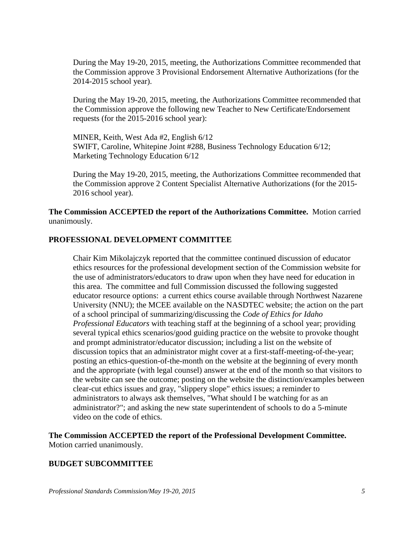During the May 19-20, 2015, meeting, the Authorizations Committee recommended that the Commission approve 3 Provisional Endorsement Alternative Authorizations (for the 2014-2015 school year).

During the May 19-20, 2015, meeting, the Authorizations Committee recommended that the Commission approve the following new Teacher to New Certificate/Endorsement requests (for the 2015-2016 school year):

MINER, Keith, West Ada #2, English 6/12 SWIFT, Caroline, Whitepine Joint #288, Business Technology Education 6/12; Marketing Technology Education 6/12

During the May 19-20, 2015, meeting, the Authorizations Committee recommended that the Commission approve 2 Content Specialist Alternative Authorizations (for the 2015- 2016 school year).

**The Commission ACCEPTED the report of the Authorizations Committee.** Motion carried unanimously.

#### **PROFESSIONAL DEVELOPMENT COMMITTEE**

Chair Kim Mikolajczyk reported that the committee continued discussion of educator ethics resources for the professional development section of the Commission website for the use of administrators/educators to draw upon when they have need for education in this area. The committee and full Commission discussed the following suggested educator resource options: a current ethics course available through Northwest Nazarene University (NNU); the MCEE available on the NASDTEC website; the action on the part of a school principal of summarizing/discussing the *Code of Ethics for Idaho Professional Educators* with teaching staff at the beginning of a school year; providing several typical ethics scenarios/good guiding practice on the website to provoke thought and prompt administrator/educator discussion; including a list on the website of discussion topics that an administrator might cover at a first-staff-meeting-of-the-year; posting an ethics-question-of-the-month on the website at the beginning of every month and the appropriate (with legal counsel) answer at the end of the month so that visitors to the website can see the outcome; posting on the website the distinction/examples between clear-cut ethics issues and gray, "slippery slope" ethics issues; a reminder to administrators to always ask themselves, "What should I be watching for as an administrator?"; and asking the new state superintendent of schools to do a 5-minute video on the code of ethics.

**The Commission ACCEPTED the report of the Professional Development Committee.**  Motion carried unanimously.

#### **BUDGET SUBCOMMITTEE**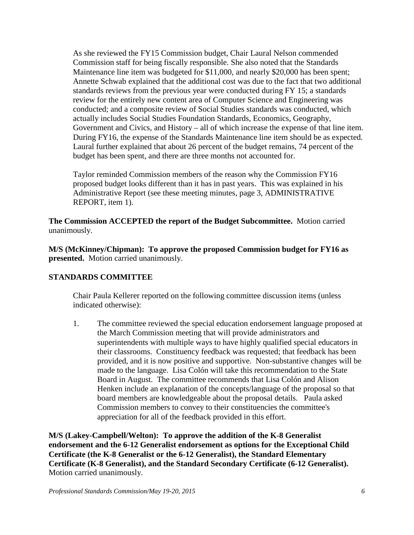As she reviewed the FY15 Commission budget, Chair Laural Nelson commended Commission staff for being fiscally responsible. She also noted that the Standards Maintenance line item was budgeted for \$11,000, and nearly \$20,000 has been spent; Annette Schwab explained that the additional cost was due to the fact that two additional standards reviews from the previous year were conducted during FY 15; a standards review for the entirely new content area of Computer Science and Engineering was conducted; and a composite review of Social Studies standards was conducted, which actually includes Social Studies Foundation Standards, Economics, Geography, Government and Civics, and History – all of which increase the expense of that line item. During FY16, the expense of the Standards Maintenance line item should be as expected. Laural further explained that about 26 percent of the budget remains, 74 percent of the budget has been spent, and there are three months not accounted for.

Taylor reminded Commission members of the reason why the Commission FY16 proposed budget looks different than it has in past years. This was explained in his Administrative Report (see these meeting minutes, page 3, ADMINISTRATIVE REPORT, item 1).

**The Commission ACCEPTED the report of the Budget Subcommittee.** Motion carried unanimously.

**M/S (McKinney/Chipman): To approve the proposed Commission budget for FY16 as presented.** Motion carried unanimously.

## **STANDARDS COMMITTEE**

Chair Paula Kellerer reported on the following committee discussion items (unless indicated otherwise):

1. The committee reviewed the special education endorsement language proposed at the March Commission meeting that will provide administrators and superintendents with multiple ways to have highly qualified special educators in their classrooms. Constituency feedback was requested; that feedback has been provided, and it is now positive and supportive. Non-substantive changes will be made to the language. Lisa Colón will take this recommendation to the State Board in August. The committee recommends that Lisa Colón and Alison Henken include an explanation of the concepts/language of the proposal so that board members are knowledgeable about the proposal details. Paula asked Commission members to convey to their constituencies the committee's appreciation for all of the feedback provided in this effort.

**M/S (Lakey-Campbell/Welton): To approve the addition of the K-8 Generalist endorsement and the 6-12 Generalist endorsement as options for the Exceptional Child Certificate (the K-8 Generalist or the 6-12 Generalist), the Standard Elementary Certificate (K-8 Generalist), and the Standard Secondary Certificate (6-12 Generalist).**  Motion carried unanimously.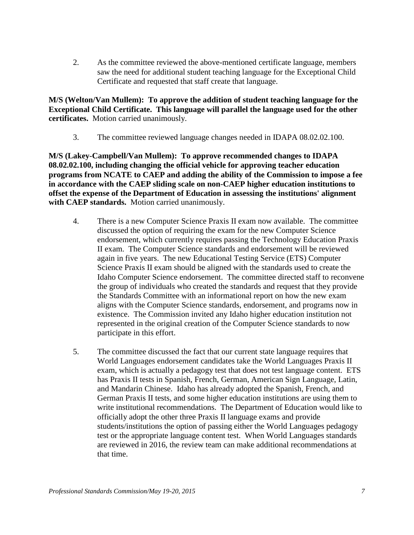2. As the committee reviewed the above-mentioned certificate language, members saw the need for additional student teaching language for the Exceptional Child Certificate and requested that staff create that language.

**M/S (Welton/Van Mullem): To approve the addition of student teaching language for the Exceptional Child Certificate. This language will parallel the language used for the other certificates.** Motion carried unanimously.

3. The committee reviewed language changes needed in IDAPA 08.02.02.100.

**M/S (Lakey-Campbell/Van Mullem): To approve recommended changes to IDAPA 08.02.02.100, including changing the official vehicle for approving teacher education programs from NCATE to CAEP and adding the ability of the Commission to impose a fee in accordance with the CAEP sliding scale on non-CAEP higher education institutions to offset the expense of the Department of Education in assessing the institutions' alignment with CAEP standards.** Motion carried unanimously.

- 4. There is a new Computer Science Praxis II exam now available. The committee discussed the option of requiring the exam for the new Computer Science endorsement, which currently requires passing the Technology Education Praxis II exam. The Computer Science standards and endorsement will be reviewed again in five years. The new Educational Testing Service (ETS) Computer Science Praxis II exam should be aligned with the standards used to create the Idaho Computer Science endorsement. The committee directed staff to reconvene the group of individuals who created the standards and request that they provide the Standards Committee with an informational report on how the new exam aligns with the Computer Science standards, endorsement, and programs now in existence. The Commission invited any Idaho higher education institution not represented in the original creation of the Computer Science standards to now participate in this effort.
- 5. The committee discussed the fact that our current state language requires that World Languages endorsement candidates take the World Languages Praxis II exam, which is actually a pedagogy test that does not test language content. ETS has Praxis II tests in Spanish, French, German, American Sign Language, Latin, and Mandarin Chinese. Idaho has already adopted the Spanish, French, and German Praxis II tests, and some higher education institutions are using them to write institutional recommendations. The Department of Education would like to officially adopt the other three Praxis II language exams and provide students/institutions the option of passing either the World Languages pedagogy test or the appropriate language content test. When World Languages standards are reviewed in 2016, the review team can make additional recommendations at that time.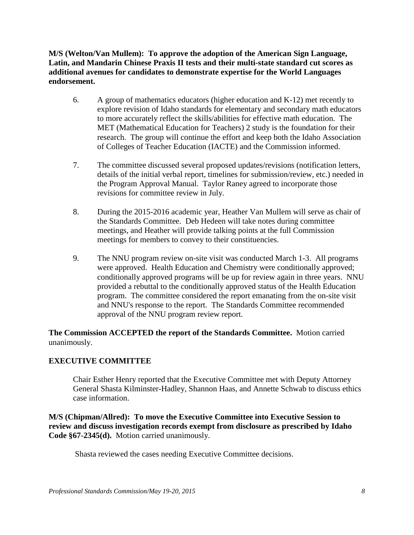**M/S (Welton/Van Mullem): To approve the adoption of the American Sign Language, Latin, and Mandarin Chinese Praxis II tests and their multi-state standard cut scores as additional avenues for candidates to demonstrate expertise for the World Languages endorsement.** 

- 6. A group of mathematics educators (higher education and K-12) met recently to explore revision of Idaho standards for elementary and secondary math educators to more accurately reflect the skills/abilities for effective math education. The MET (Mathematical Education for Teachers) 2 study is the foundation for their research. The group will continue the effort and keep both the Idaho Association of Colleges of Teacher Education (IACTE) and the Commission informed.
- 7. The committee discussed several proposed updates/revisions (notification letters, details of the initial verbal report, timelines for submission/review, etc.) needed in the Program Approval Manual. Taylor Raney agreed to incorporate those revisions for committee review in July.
- 8. During the 2015-2016 academic year, Heather Van Mullem will serve as chair of the Standards Committee. Deb Hedeen will take notes during committee meetings, and Heather will provide talking points at the full Commission meetings for members to convey to their constituencies.
- 9. The NNU program review on-site visit was conducted March 1-3. All programs were approved. Health Education and Chemistry were conditionally approved; conditionally approved programs will be up for review again in three years. NNU provided a rebuttal to the conditionally approved status of the Health Education program. The committee considered the report emanating from the on-site visit and NNU's response to the report. The Standards Committee recommended approval of the NNU program review report.

**The Commission ACCEPTED the report of the Standards Committee.** Motion carried unanimously.

## **EXECUTIVE COMMITTEE**

Chair Esther Henry reported that the Executive Committee met with Deputy Attorney General Shasta Kilminster-Hadley, Shannon Haas, and Annette Schwab to discuss ethics case information.

**M/S (Chipman/Allred): To move the Executive Committee into Executive Session to review and discuss investigation records exempt from disclosure as prescribed by Idaho Code §67-2345(d).** Motion carried unanimously.

Shasta reviewed the cases needing Executive Committee decisions.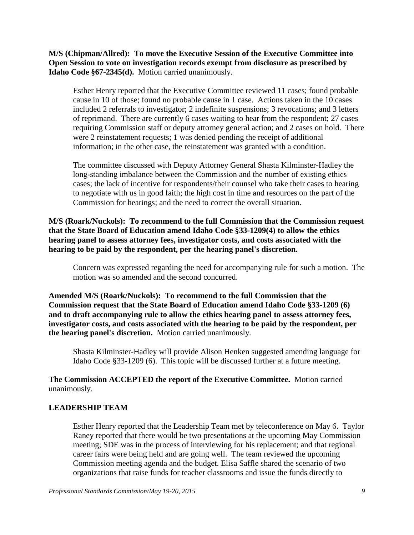**M/S (Chipman/Allred): To move the Executive Session of the Executive Committee into Open Session to vote on investigation records exempt from disclosure as prescribed by Idaho Code §67-2345(d).** Motion carried unanimously.

Esther Henry reported that the Executive Committee reviewed 11 cases; found probable cause in 10 of those; found no probable cause in 1 case. Actions taken in the 10 cases included 2 referrals to investigator; 2 indefinite suspensions; 3 revocations; and 3 letters of reprimand. There are currently 6 cases waiting to hear from the respondent; 27 cases requiring Commission staff or deputy attorney general action; and 2 cases on hold. There were 2 reinstatement requests; 1 was denied pending the receipt of additional information; in the other case, the reinstatement was granted with a condition.

The committee discussed with Deputy Attorney General Shasta Kilminster-Hadley the long-standing imbalance between the Commission and the number of existing ethics cases; the lack of incentive for respondents/their counsel who take their cases to hearing to negotiate with us in good faith; the high cost in time and resources on the part of the Commission for hearings; and the need to correct the overall situation.

**M/S (Roark/Nuckols): To recommend to the full Commission that the Commission request that the State Board of Education amend Idaho Code §33-1209(4) to allow the ethics hearing panel to assess attorney fees, investigator costs, and costs associated with the hearing to be paid by the respondent, per the hearing panel's discretion.** 

Concern was expressed regarding the need for accompanying rule for such a motion. The motion was so amended and the second concurred.

**Amended M/S (Roark/Nuckols): To recommend to the full Commission that the Commission request that the State Board of Education amend Idaho Code §33-1209 (6) and to draft accompanying rule to allow the ethics hearing panel to assess attorney fees, investigator costs, and costs associated with the hearing to be paid by the respondent, per the hearing panel's discretion.** Motion carried unanimously.

Shasta Kilminster-Hadley will provide Alison Henken suggested amending language for Idaho Code §33-1209 (6). This topic will be discussed further at a future meeting.

**The Commission ACCEPTED the report of the Executive Committee.** Motion carried unanimously.

#### **LEADERSHIP TEAM**

Esther Henry reported that the Leadership Team met by teleconference on May 6. Taylor Raney reported that there would be two presentations at the upcoming May Commission meeting; SDE was in the process of interviewing for his replacement; and that regional career fairs were being held and are going well. The team reviewed the upcoming Commission meeting agenda and the budget. Elisa Saffle shared the scenario of two organizations that raise funds for teacher classrooms and issue the funds directly to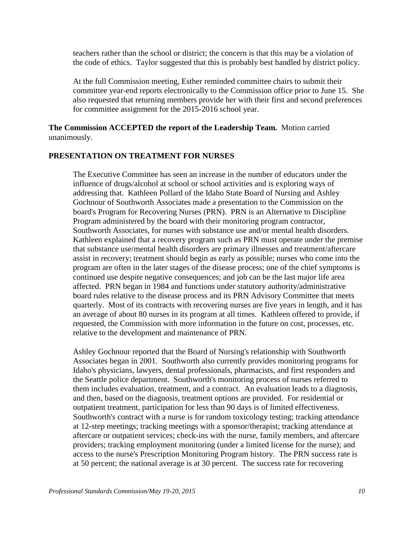teachers rather than the school or district; the concern is that this may be a violation of the code of ethics. Taylor suggested that this is probably best handled by district policy.

At the full Commission meeting, Esther reminded committee chairs to submit their committee year-end reports electronically to the Commission office prior to June 15. She also requested that returning members provide her with their first and second preferences for committee assignment for the 2015-2016 school year.

### **The Commission ACCEPTED the report of the Leadership Team.** Motion carried unanimously.

## **PRESENTATION ON TREATMENT FOR NURSES**

The Executive Committee has seen an increase in the number of educators under the influence of drugs/alcohol at school or school activities and is exploring ways of addressing that. Kathleen Pollard of the Idaho State Board of Nursing and Ashley Gochnour of Southworth Associates made a presentation to the Commission on the board's Program for Recovering Nurses (PRN). PRN is an Alternative to Discipline Program administered by the board with their monitoring program contractor, Southworth Associates, for nurses with substance use and/or mental health disorders. Kathleen explained that a recovery program such as PRN must operate under the premise that substance use/mental health disorders are primary illnesses and treatment/aftercare assist in recovery; treatment should begin as early as possible; nurses who come into the program are often in the later stages of the disease process; one of the chief symptoms is continued use despite negative consequences; and job can be the last major life area affected. PRN began in 1984 and functions under statutory authority/administrative board rules relative to the disease process and its PRN Advisory Committee that meets quarterly. Most of its contracts with recovering nurses are five years in length, and it has an average of about 80 nurses in its program at all times. Kathleen offered to provide, if requested, the Commission with more information in the future on cost, processes, etc. relative to the development and maintenance of PRN.

Ashley Gochnour reported that the Board of Nursing's relationship with Southworth Associates began in 2001. Southworth also currently provides monitoring programs for Idaho's physicians, lawyers, dental professionals, pharmacists, and first responders and the Seattle police department. Southworth's monitoring process of nurses referred to them includes evaluation, treatment, and a contract. An evaluation leads to a diagnosis, and then, based on the diagnosis, treatment options are provided. For residential or outpatient treatment, participation for less than 90 days is of limited effectiveness. Southworth's contract with a nurse is for random toxicology testing; tracking attendance at 12-step meetings; tracking meetings with a sponsor/therapist; tracking attendance at aftercare or outpatient services; check-ins with the nurse, family members, and aftercare providers; tracking employment monitoring (under a limited license for the nurse); and access to the nurse's Prescription Monitoring Program history. The PRN success rate is at 50 percent; the national average is at 30 percent. The success rate for recovering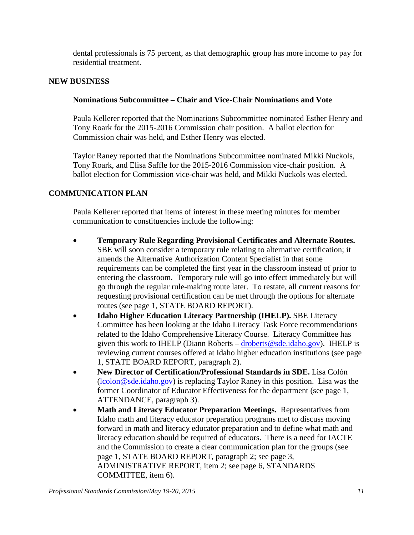dental professionals is 75 percent, as that demographic group has more income to pay for residential treatment.

## **NEW BUSINESS**

## **Nominations Subcommittee – Chair and Vice-Chair Nominations and Vote**

Paula Kellerer reported that the Nominations Subcommittee nominated Esther Henry and Tony Roark for the 2015-2016 Commission chair position. A ballot election for Commission chair was held, and Esther Henry was elected.

Taylor Raney reported that the Nominations Subcommittee nominated Mikki Nuckols, Tony Roark, and Elisa Saffle for the 2015-2016 Commission vice-chair position. A ballot election for Commission vice-chair was held, and Mikki Nuckols was elected.

# **COMMUNICATION PLAN**

Paula Kellerer reported that items of interest in these meeting minutes for member communication to constituencies include the following:

- **Temporary Rule Regarding Provisional Certificates and Alternate Routes.**  SBE will soon consider a temporary rule relating to alternative certification; it amends the Alternative Authorization Content Specialist in that some requirements can be completed the first year in the classroom instead of prior to entering the classroom. Temporary rule will go into effect immediately but will go through the regular rule-making route later. To restate, all current reasons for requesting provisional certification can be met through the options for alternate routes (see page 1, STATE BOARD REPORT).
- **Idaho Higher Education Literacy Partnership (IHELP).** SBE Literacy Committee has been looking at the Idaho Literacy Task Force recommendations related to the Idaho Comprehensive Literacy Course. Literacy Committee has given this work to IHELP (Diann Roberts – droberts @sde.idaho.gov). IHELP is reviewing current courses offered at Idaho higher education institutions (see page 1, STATE BOARD REPORT, paragraph 2).
- **New Director of Certification/Professional Standards in SDE.** Lisa Colón [\(lcolon@sde.idaho.gov\)](mailto:lcolon@sde.idaho.gov) is replacing Taylor Raney in this position. Lisa was the former Coordinator of Educator Effectiveness for the department (see page 1, ATTENDANCE, paragraph 3).
- **Math and Literacy Educator Preparation Meetings.** Representatives from Idaho math and literacy educator preparation programs met to discuss moving forward in math and literacy educator preparation and to define what math and literacy education should be required of educators. There is a need for IACTE and the Commission to create a clear communication plan for the groups (see page 1, STATE BOARD REPORT, paragraph 2; see page 3, ADMINISTRATIVE REPORT, item 2; see page 6, STANDARDS COMMITTEE, item 6).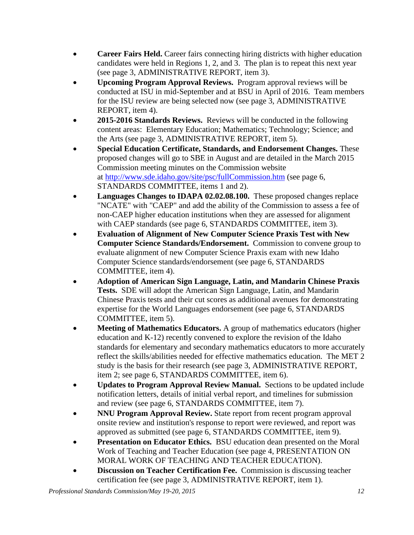- **Career Fairs Held.** Career fairs connecting hiring districts with higher education candidates were held in Regions 1, 2, and 3. The plan is to repeat this next year (see page 3, ADMINISTRATIVE REPORT, item 3).
- **Upcoming Program Approval Reviews.** Program approval reviews will be conducted at ISU in mid-September and at BSU in April of 2016. Team members for the ISU review are being selected now (see page 3, ADMINISTRATIVE REPORT, item 4).
- **2015-2016 Standards Reviews.** Reviews will be conducted in the following content areas: Elementary Education; Mathematics; Technology; Science; and the Arts (see page 3, ADMINISTRATIVE REPORT, item 5).
- **Special Education Certificate, Standards, and Endorsement Changes.** These proposed changes will go to SBE in August and are detailed in the March 2015 Commission meeting minutes on the Commission website at<http://www.sde.idaho.gov/site/psc/fullCommission.htm> (see page 6, STANDARDS COMMITTEE, items 1 and 2).
- **Languages Changes to IDAPA 02.02.08.100.** These proposed changes replace "NCATE" with "CAEP" and add the ability of the Commission to assess a fee of non-CAEP higher education institutions when they are assessed for alignment with CAEP standards (see page 6, STANDARDS COMMITTEE, item 3).
- **Evaluation of Alignment of New Computer Science Praxis Test with New Computer Science Standards/Endorsement.** Commission to convene group to evaluate alignment of new Computer Science Praxis exam with new Idaho Computer Science standards/endorsement (see page 6, STANDARDS COMMITTEE, item 4).
- **Adoption of American Sign Language, Latin, and Mandarin Chinese Praxis Tests.** SDE will adopt the American Sign Language, Latin, and Mandarin Chinese Praxis tests and their cut scores as additional avenues for demonstrating expertise for the World Languages endorsement (see page 6, STANDARDS COMMITTEE, item 5).
- **Meeting of Mathematics Educators.** A group of mathematics educators (higher education and K-12) recently convened to explore the revision of the Idaho standards for elementary and secondary mathematics educators to more accurately reflect the skills/abilities needed for effective mathematics education. The MET 2 study is the basis for their research (see page 3, ADMINISTRATIVE REPORT, item 2; see page 6, STANDARDS COMMITTEE, item 6).
- **Updates to Program Approval Review Manual.** Sections to be updated include notification letters, details of initial verbal report, and timelines for submission and review (see page 6, STANDARDS COMMITTEE, item 7).
- **NNU Program Approval Review.** State report from recent program approval onsite review and institution's response to report were reviewed, and report was approved as submitted (see page 6, STANDARDS COMMITTEE, item 9).
- **Presentation on Educator Ethics.** BSU education dean presented on the Moral Work of Teaching and Teacher Education (see page 4, PRESENTATION ON MORAL WORK OF TEACHING AND TEACHER EDUCATION).
- **Discussion on Teacher Certification Fee.** Commission is discussing teacher certification fee (see page 3, ADMINISTRATIVE REPORT, item 1).